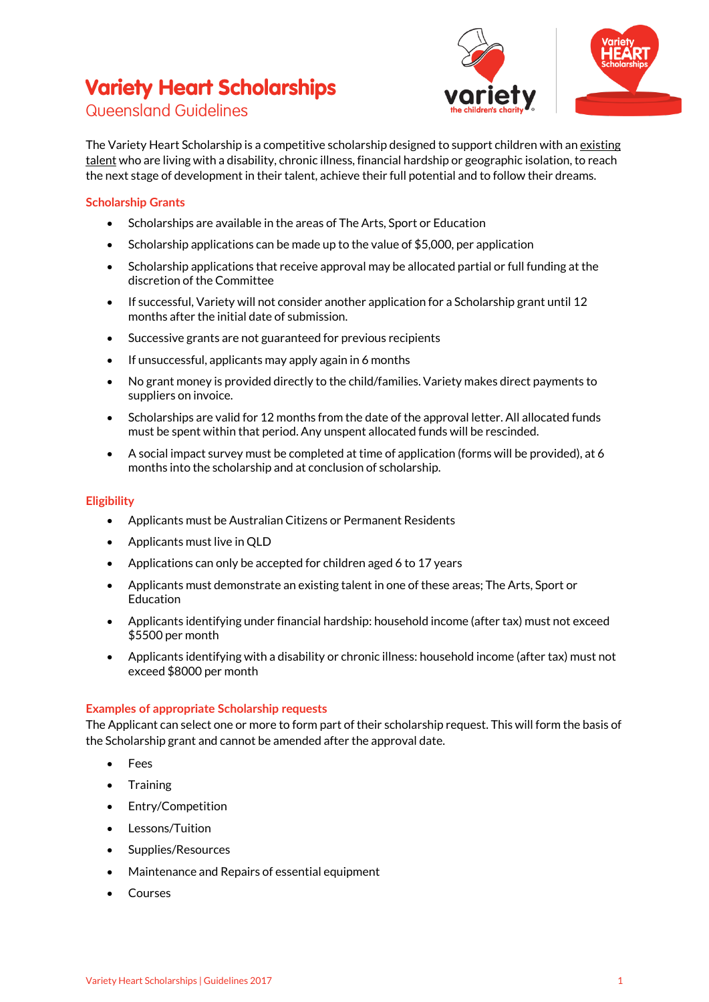# **Variety Heart Scholarships**



## Queensland Guidelines

The Variety Heart Scholarship is a competitive scholarship designed to support children with an existing talent who are living with a disability, chronic illness, financial hardship or geographic isolation, to reach the next stage of development in their talent, achieve their full potential and to follow their dreams.

### **Scholarship Grants**

- Scholarships are available in the areas of The Arts, Sport or Education
- Scholarship applications can be made up to the value of \$5,000, per application
- Scholarship applications that receive approval may be allocated partial or full funding at the discretion of the Committee
- If successful, Variety will not consider another application for a Scholarship grant until 12 months after the initial date of submission.
- Successive grants are not guaranteed for previous recipients
- If unsuccessful, applicants may apply again in 6 months
- No grant money is provided directly to the child/families. Variety makes direct payments to suppliers on invoice.
- Scholarships are valid for 12 months from the date of the approval letter. All allocated funds must be spent within that period. Any unspent allocated funds will be rescinded.
- A social impact survey must be completed at time of application (forms will be provided), at 6 months into the scholarship and at conclusion of scholarship.

#### **Eligibility**

- Applicants must be Australian Citizens or Permanent Residents
- Applicants must live in QLD
- Applications can only be accepted for children aged 6 to 17 years
- Applicants must demonstrate an existing talent in one of these areas; The Arts, Sport or Education
- Applicants identifying under financial hardship: household income (after tax) must not exceed \$5500 per month
- Applicants identifying with a disability or chronic illness: household income (after tax) must not exceed \$8000 per month

#### **Examples of appropriate Scholarship requests**

The Applicant can select one or more to form part of their scholarship request. This will form the basis of the Scholarship grant and cannot be amended after the approval date.

- Fees
- Training
- Entry/Competition
- Lessons/Tuition
- Supplies/Resources
- Maintenance and Repairs of essential equipment
- Courses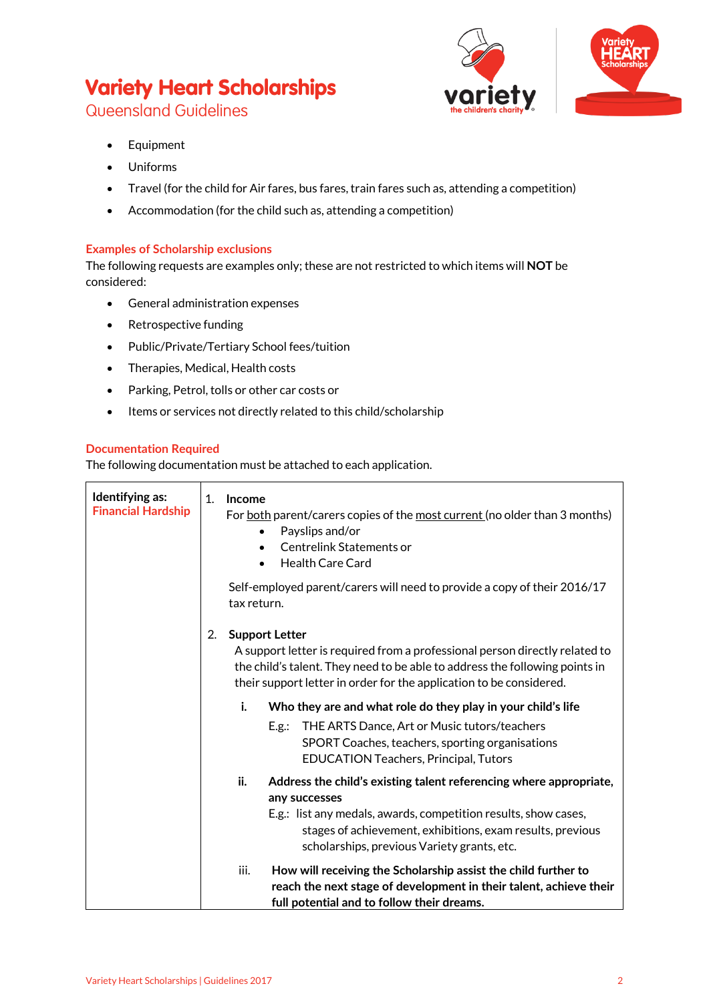# **Variety Heart Scholarships**

Queensland Guidelines

- Equipment
- Uniforms
- Travel (for the child for Air fares, bus fares, train fares such as, attending a competition)
- Accommodation (for the child such as, attending a competition)

### **Examples of Scholarship exclusions**

The following requests are examples only; these are not restricted to which items will **NOT** be considered:

- General administration expenses
- Retrospective funding
- Public/Private/Tertiary School fees/tuition
- Therapies, Medical, Health costs
- Parking, Petrol, tolls or other car costs or
- Items or services not directly related to this child/scholarship

### **Documentation Required**

The following documentation must be attached to each application.

| Identifying as:<br><b>Financial Hardship</b> | $\mathbf{1}$ .<br>Income<br>For both parent/carers copies of the most current (no older than 3 months)<br>Payslips and/or<br>٠<br>Centrelink Statements or<br>$\bullet$<br><b>Health Care Card</b>                                                                         |
|----------------------------------------------|----------------------------------------------------------------------------------------------------------------------------------------------------------------------------------------------------------------------------------------------------------------------------|
|                                              | Self-employed parent/carers will need to provide a copy of their 2016/17<br>tax return.                                                                                                                                                                                    |
|                                              | 2.<br><b>Support Letter</b><br>A support letter is required from a professional person directly related to<br>the child's talent. They need to be able to address the following points in<br>their support letter in order for the application to be considered.           |
|                                              | i.<br>Who they are and what role do they play in your child's life<br>THE ARTS Dance, Art or Music tutors/teachers<br>E.g.:<br>SPORT Coaches, teachers, sporting organisations<br>EDUCATION Teachers, Principal, Tutors                                                    |
|                                              | ii.<br>Address the child's existing talent referencing where appropriate,<br>any successes<br>E.g.: list any medals, awards, competition results, show cases,<br>stages of achievement, exhibitions, exam results, previous<br>scholarships, previous Variety grants, etc. |
|                                              | iii.<br>How will receiving the Scholarship assist the child further to<br>reach the next stage of development in their talent, achieve their<br>full potential and to follow their dreams.                                                                                 |